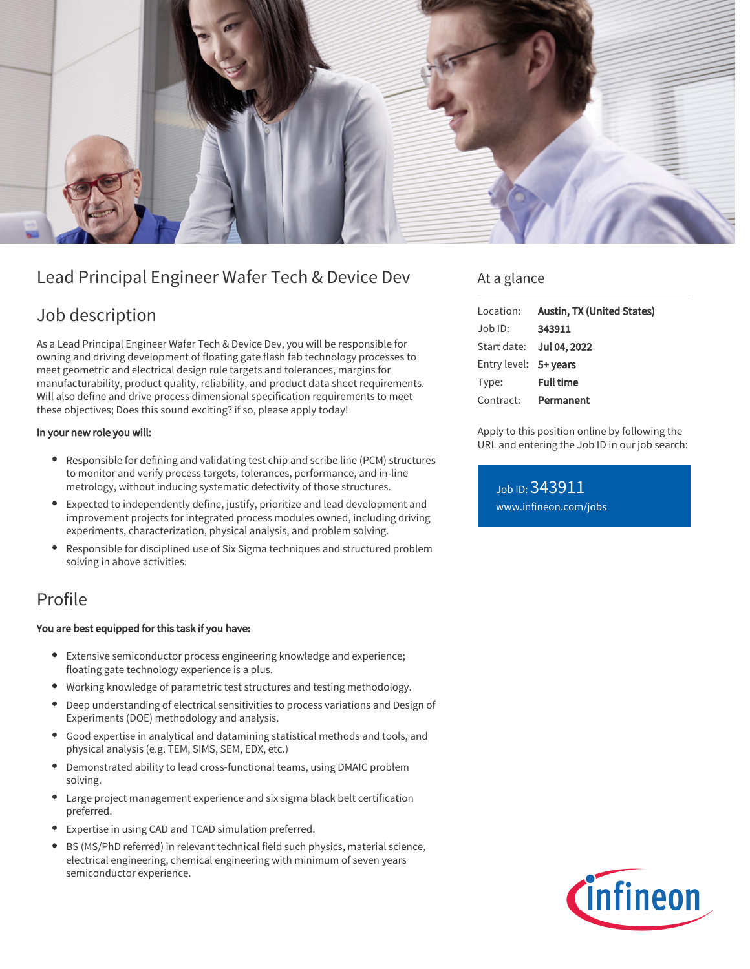

# Lead Principal Engineer Wafer Tech & Device Dev

# Job description

As a Lead Principal Engineer Wafer Tech & Device Dev, you will be responsible for owning and driving development of floating gate flash fab technology processes to meet geometric and electrical design rule targets and tolerances, margins for manufacturability, product quality, reliability, and product data sheet requirements. Will also define and drive process dimensional specification requirements to meet these objectives; Does this sound exciting? if so, please apply today!

### In your new role you will:

- Responsible for defining and validating test chip and scribe line (PCM) structures to monitor and verify process targets, tolerances, performance, and in-line metrology, without inducing systematic defectivity of those structures.
- Expected to independently define, justify, prioritize and lead development and improvement projects for integrated process modules owned, including driving experiments, characterization, physical analysis, and problem solving.
- Responsible for disciplined use of Six Sigma techniques and structured problem solving in above activities.

## Profile

## You are best equipped for this task if you have:

- Extensive semiconductor process engineering knowledge and experience; floating gate technology experience is a plus.
- Working knowledge of parametric test structures and testing methodology.
- Deep understanding of electrical sensitivities to process variations and Design of Experiments (DOE) methodology and analysis.
- Good expertise in analytical and datamining statistical methods and tools, and physical analysis (e.g. TEM, SIMS, SEM, EDX, etc.)
- Demonstrated ability to lead cross-functional teams, using DMAIC problem solving.
- Large project management experience and six sigma black belt certification preferred.
- Expertise in using CAD and TCAD simulation preferred.
- BS (MS/PhD referred) in relevant technical field such physics, material science, electrical engineering, chemical engineering with minimum of seven years semiconductor experience.

## At a glance

|                       | Location: Austin, TX (United States) |
|-----------------------|--------------------------------------|
| Job ID:               | 343911                               |
|                       | Start date: <b>Jul 04, 2022</b>      |
| Entry level: 5+ years |                                      |
| Type:                 | <b>Full time</b>                     |
|                       | Contract: Permanent                  |

Apply to this position online by following the URL and entering the Job ID in our job search:

Job ID: 343911 [www.infineon.com/jobs](https://www.infineon.com/jobs)